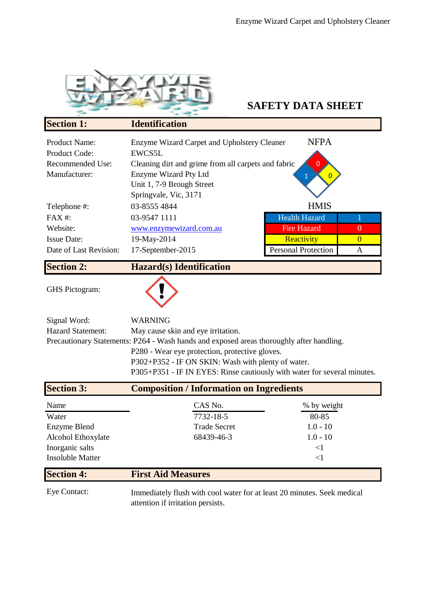

## **SAFETY DATA SHEET**

| <b>Section 1:</b>                            | <b>Identification</b>                                 |                            |          |
|----------------------------------------------|-------------------------------------------------------|----------------------------|----------|
| <b>Product Name:</b><br><b>Product Code:</b> | Enzyme Wizard Carpet and Upholstery Cleaner<br>EWCS5L | <b>NFPA</b>                |          |
| Recommended Use:                             | Cleaning dirt and grime from all carpets and fabric   |                            |          |
| Manufacturer:                                | Enzyme Wizard Pty Ltd                                 |                            |          |
|                                              | Unit 1, 7-9 Brough Street<br>Springvale, Vic, 3171    |                            |          |
| Telephone #:                                 | 03-8555 4844                                          | <b>HMIS</b>                |          |
| $FAX#$ :                                     | 03-9547 1111                                          | <b>Health Hazard</b>       |          |
| Website:                                     | www.enzymewizard.com.au                               | <b>Fire Hazard</b>         | $\theta$ |
| <b>Issue Date:</b>                           | 19-May-2014                                           | Reactivity                 | $\Omega$ |
| Date of Last Revision:                       | 17-September-2015                                     | <b>Personal Protection</b> | A        |
| <b>Section 2:</b>                            | <b>Hazard(s)</b> Identification                       |                            |          |

GHS Pictogram:



| Signal Word:             | <b>WARNING</b>                                                                           |
|--------------------------|------------------------------------------------------------------------------------------|
| <b>Hazard Statement:</b> | May cause skin and eye irritation.                                                       |
|                          | Precautionary Statements: P264 - Wash hands and exposed areas thoroughly after handling. |
|                          | P280 - Wear eye protection, protective gloves.                                           |
|                          | P302+P352 - IF ON SKIN: Wash with plenty of water.                                       |
|                          | P305+P351 - IF IN EYES: Rinse cautiously with water for several minutes.                 |

| <b>Section 3:</b>       | <b>Composition / Information on Ingredients</b> |             |
|-------------------------|-------------------------------------------------|-------------|
| Name                    | CAS No.                                         | % by weight |
| Water                   | 7732-18-5                                       | 80-85       |
| Enzyme Blend            | <b>Trade Secret</b>                             | $1.0 - 10$  |
| Alcohol Ethoxylate      | 68439-46-3                                      | $1.0 - 10$  |
| Inorganic salts         |                                                 | $<$ 1       |
| <b>Insoluble Matter</b> |                                                 | $<$ 1       |
| <b>Section 4:</b>       | <b>First Aid Measures</b>                       |             |

Eye Contact:

Immediately flush with cool water for at least 20 minutes. Seek medical attention if irritation persists.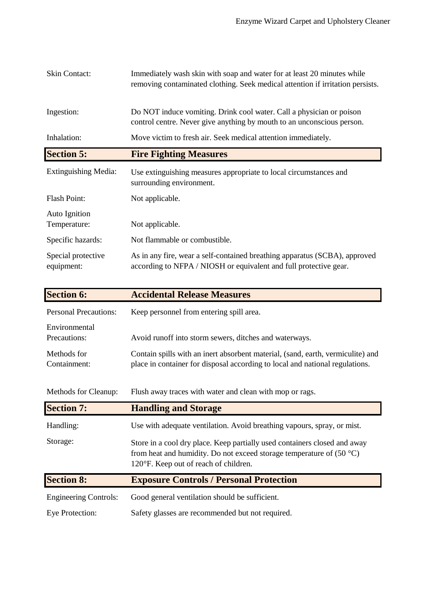| <b>Skin Contact:</b>             | Immediately wash skin with soap and water for at least 20 minutes while<br>removing contaminated clothing. Seek medical attention if irritation persists. |
|----------------------------------|-----------------------------------------------------------------------------------------------------------------------------------------------------------|
| Ingestion:                       | Do NOT induce vomiting. Drink cool water. Call a physician or poison<br>control centre. Never give anything by mouth to an unconscious person.            |
| Inhalation:                      | Move victim to fresh air. Seek medical attention immediately.                                                                                             |
| <b>Section 5:</b>                | <b>Fire Fighting Measures</b>                                                                                                                             |
| <b>Extinguishing Media:</b>      | Use extinguishing measures appropriate to local circumstances and<br>surrounding environment.                                                             |
| Flash Point:                     | Not applicable.                                                                                                                                           |
| Auto Ignition<br>Temperature:    | Not applicable.                                                                                                                                           |
| Specific hazards:                | Not flammable or combustible.                                                                                                                             |
| Special protective<br>equipment: | As in any fire, wear a self-contained breathing apparatus (SCBA), approved<br>according to NFPA / NIOSH or equivalent and full protective gear.           |

| <b>Section 6:</b>             | <b>Accidental Release Measures</b>                                                                                                                                                           |
|-------------------------------|----------------------------------------------------------------------------------------------------------------------------------------------------------------------------------------------|
| <b>Personal Precautions:</b>  | Keep personnel from entering spill area.                                                                                                                                                     |
| Environmental<br>Precautions: | Avoid runoff into storm sewers, ditches and waterways.                                                                                                                                       |
| Methods for<br>Containment:   | Contain spills with an inert absorbent material, (sand, earth, vermiculite) and<br>place in container for disposal according to local and national regulations.                              |
| Methods for Cleanup:          | Flush away traces with water and clean with mop or rags.                                                                                                                                     |
| <b>Section 7:</b>             | <b>Handling and Storage</b>                                                                                                                                                                  |
| Handling:                     | Use with adequate ventilation. Avoid breathing vapours, spray, or mist.                                                                                                                      |
| Storage:                      | Store in a cool dry place. Keep partially used containers closed and away<br>from heat and humidity. Do not exceed storage temperature of $(50 °C)$<br>120°F. Keep out of reach of children. |
| <b>Section 8:</b>             | <b>Exposure Controls / Personal Protection</b>                                                                                                                                               |
| <b>Engineering Controls:</b>  | Good general ventilation should be sufficient.                                                                                                                                               |
|                               |                                                                                                                                                                                              |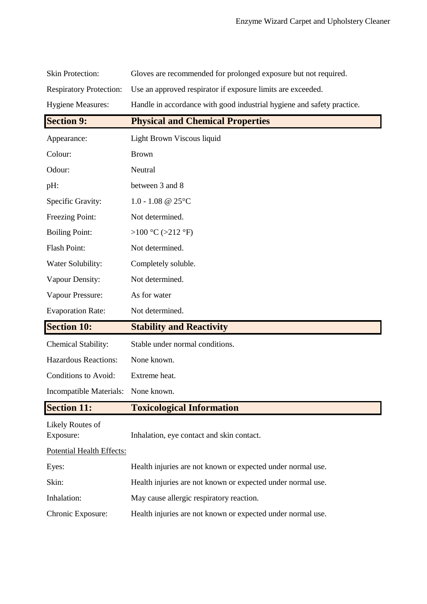| <b>Skin Protection:</b>        | Gloves are recommended for prolonged exposure but not required.        |
|--------------------------------|------------------------------------------------------------------------|
| <b>Respiratory Protection:</b> | Use an approved respirator if exposure limits are exceeded.            |
| <b>Hygiene Measures:</b>       | Handle in accordance with good industrial hygiene and safety practice. |
| <b>Section 9:</b>              | <b>Physical and Chemical Properties</b>                                |
| Appearance:                    | Light Brown Viscous liquid                                             |
| Colour:                        | <b>Brown</b>                                                           |
| Odour:                         | Neutral                                                                |
| pH:                            | between 3 and 8                                                        |
| Specific Gravity:              | $1.0 - 1.08$ @ 25°C                                                    |
| Freezing Point:                | Not determined.                                                        |
| <b>Boiling Point:</b>          | >100 °C (>212 °F)                                                      |
| Flash Point:                   | Not determined.                                                        |
| Water Solubility:              | Completely soluble.                                                    |
| Vapour Density:                | Not determined.                                                        |
| Vapour Pressure:               | As for water                                                           |
|                                |                                                                        |
| <b>Evaporation Rate:</b>       | Not determined.                                                        |
| <b>Section 10:</b>             | <b>Stability and Reactivity</b>                                        |
| <b>Chemical Stability:</b>     | Stable under normal conditions.                                        |
| <b>Hazardous Reactions:</b>    | None known.                                                            |
| Conditions to Avoid:           | Extreme heat.                                                          |
| Incompatible Materials:        | None known.                                                            |
| <b>Section 11:</b>             | <b>Toxicological Information</b>                                       |
| Likely Routes of<br>Exposure:  | Inhalation, eye contact and skin contact.                              |
| Potential Health Effects:      |                                                                        |
| Eyes:                          | Health injuries are not known or expected under normal use.            |
| Skin:                          | Health injuries are not known or expected under normal use.            |
| Inhalation:                    | May cause allergic respiratory reaction.                               |